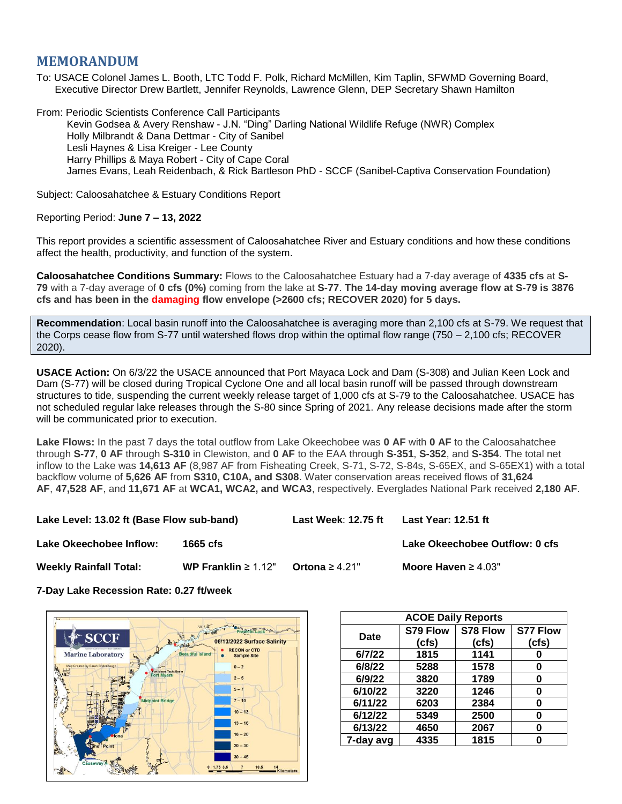## **MEMORANDUM**

To: USACE Colonel James L. Booth, LTC Todd F. Polk, Richard McMillen, Kim Taplin, SFWMD Governing Board, Executive Director Drew Bartlett, Jennifer Reynolds, Lawrence Glenn, DEP Secretary Shawn Hamilton

From: Periodic Scientists Conference Call Participants Kevin Godsea & Avery Renshaw - J.N. "Ding" Darling National Wildlife Refuge (NWR) Complex Holly Milbrandt & Dana Dettmar - City of Sanibel Lesli Haynes & Lisa Kreiger - Lee County Harry Phillips & Maya Robert - City of Cape Coral James Evans, Leah Reidenbach, & Rick Bartleson PhD - SCCF (Sanibel-Captiva Conservation Foundation)

Subject: Caloosahatchee & Estuary Conditions Report

## Reporting Period: **June 7 – 13, 2022**

This report provides a scientific assessment of Caloosahatchee River and Estuary conditions and how these conditions affect the health, productivity, and function of the system.

**Caloosahatchee Conditions Summary:** Flows to the Caloosahatchee Estuary had a 7-day average of **4335 cfs** at **S-79** with a 7-day average of **0 cfs (0%)** coming from the lake at **S-77**. **The 14-day moving average flow at S-79 is 3876 cfs and has been in the damaging flow envelope (>2600 cfs; RECOVER 2020) for 5 days.**

**Recommendation**: Local basin runoff into the Caloosahatchee is averaging more than 2,100 cfs at S-79. We request that the Corps cease flow from S-77 until watershed flows drop within the optimal flow range (750 – 2,100 cfs; RECOVER 2020).

**USACE Action:** On 6/3/22 the USACE announced that Port Mayaca Lock and Dam (S-308) and Julian Keen Lock and Dam (S-77) will be closed during Tropical Cyclone One and all local basin runoff will be passed through downstream structures to tide, suspending the current weekly release target of 1,000 cfs at S-79 to the Caloosahatchee. USACE has not scheduled regular lake releases through the S-80 since Spring of 2021. Any release decisions made after the storm will be communicated prior to execution.

**Lake Flows:** In the past 7 days the total outflow from Lake Okeechobee was **0 AF** with **0 AF** to the Caloosahatchee through **S-77**, **0 AF** through **S-310** in Clewiston, and **0 AF** to the EAA through **S-351**, **S-352**, and **S-354**. The total net inflow to the Lake was **14,613 AF** (8,987 AF from Fisheating Creek, S-71, S-72, S-84s, S-65EX, and S-65EX1) with a total backflow volume of **5,626 AF** from **S310, C10A, and S308**. Water conservation areas received flows of **31,624 AF**, **47,528 AF**, and **11,671 AF** at **WCA1, WCA2, and WCA3**, respectively. Everglades National Park received **2,180 AF**.

**Lake Level: 13.02 ft (Base Flow sub-band) Last Week**: **12.75 ft Last Year: 12.51 ft**

**Lake Okeechobee Inflow: 1665 cfs Lake Okeechobee Outflow: 0 cfs**

**Weekly Rainfall Total: WP Franklin** ≥ 1.12" **Ortona** ≥ 4.21" **Moore Haven** ≥ 4.03"

**7-Day Lake Recession Rate: 0.27 ft/week**



| <b>ACOE Daily Reports</b> |          |          |                 |  |  |  |
|---------------------------|----------|----------|-----------------|--|--|--|
| <b>Date</b>               | S79 Flow | S78 Flow | <b>S77 Flow</b> |  |  |  |
|                           | (cfs)    | (cfs)    | (cfs)           |  |  |  |
| 6/7/22                    | 1815     | 1141     |                 |  |  |  |
| 6/8/22                    | 5288     | 1578     | 0               |  |  |  |
| 6/9/22                    | 3820     | 1789     | 0               |  |  |  |
| 6/10/22                   | 3220     | 1246     | 0               |  |  |  |
| 6/11/22                   | 6203     | 2384     | 0               |  |  |  |
| 6/12/22                   | 5349     | 2500     | 0               |  |  |  |
| 6/13/22                   | 4650     | 2067     | ŋ               |  |  |  |
| 7-day avg                 | 4335     | 1815     |                 |  |  |  |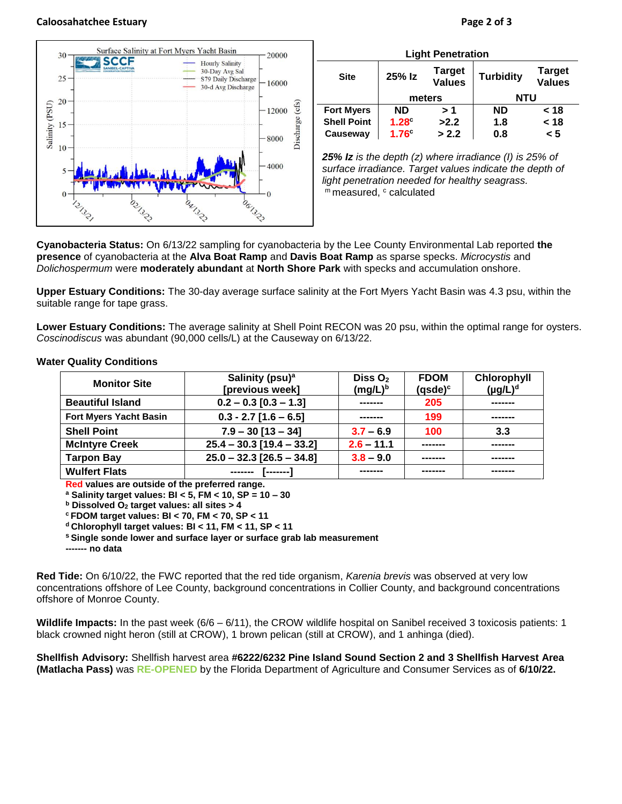## **Caloosahatchee Estuary Page 2 of 3**



OAI322

OZI322

| <b>Light Penetration</b> |              |                         |                  |                                |  |  |  |
|--------------------------|--------------|-------------------------|------------------|--------------------------------|--|--|--|
| <b>Site</b>              | 25% Iz       | Target<br><b>Values</b> | <b>Turbidity</b> | <b>Target</b><br><b>Values</b> |  |  |  |
|                          | meters       |                         | <b>NTU</b>       |                                |  |  |  |
| <b>Fort Myers</b>        | <b>ND</b>    | > 1                     | <b>ND</b>        | < 18                           |  |  |  |
| <b>Shell Point</b>       | $1.28^\circ$ | >2.2                    | 1.8              | < 18                           |  |  |  |
| Causeway                 | $1.76^\circ$ | > 2.2                   | 0.8              | < 5                            |  |  |  |

*25% Iz is the depth (z) where irradiance (I) is 25% of surface irradiance. Target values indicate the depth of light penetration needed for healthy seagrass.* m measured, c calculated

**Cyanobacteria Status:** On 6/13/22 sampling for cyanobacteria by the Lee County Environmental Lab reported **the presence** of cyanobacteria at the **Alva Boat Ramp** and **Davis Boat Ramp** as sparse specks. *Microcystis* and *Dolichospermum* were **moderately abundant** at **North Shore Park** with specks and accumulation onshore.

Ô

OGI322

**Upper Estuary Conditions:** The 30-day average surface salinity at the Fort Myers Yacht Basin was 4.3 psu, within the suitable range for tape grass.

**Lower Estuary Conditions:** The average salinity at Shell Point RECON was 20 psu, within the optimal range for oysters. *Coscinodiscus* was abundant (90,000 cells/L) at the Causeway on 6/13/22.

| <b>Monitor Site</b>           | Salinity (psu) <sup>a</sup>   | Diss $O2$    | <b>FDOM</b>    | Chlorophyll   |
|-------------------------------|-------------------------------|--------------|----------------|---------------|
|                               | [previous week]<br>$(mg/L)^b$ |              | $(q$ sde $)^c$ | $(\mu g/L)^d$ |
| <b>Beautiful Island</b>       | $0.2 - 0.3$ [0.3 - 1.3]       | -------      | 205            | -------       |
| <b>Fort Myers Yacht Basin</b> | $0.3 - 2.7$ [1.6 - 6.5]       |              | 199            | -------       |
| <b>Shell Point</b>            | $7.9 - 30$ [13 - 34]          | $3.7 - 6.9$  | 100            | 3.3           |
| <b>McIntyre Creek</b>         | $25.4 - 30.3$ [19.4 - 33.2]   | $2.6 - 11.1$ |                | -------       |
| <b>Tarpon Bay</b>             | $25.0 - 32.3 [26.5 - 34.8]$   | $3.8 - 9.0$  |                |               |
| <b>Wulfert Flats</b>          | --------                      |              |                | -------       |

## **Water Quality Conditions**

12/321

**Red values are outside of the preferred range.**

**<sup>a</sup> Salinity target values: BI < 5, FM < 10, SP = 10 – 30**

**<sup>b</sup> Dissolved O<sup>2</sup> target values: all sites > 4**

**<sup>c</sup> FDOM target values: BI < 70, FM < 70, SP < 11**

**<sup>d</sup> Chlorophyll target values: BI < 11, FM < 11, SP < 11** 

**<sup>s</sup> Single sonde lower and surface layer or surface grab lab measurement**

**------- no data**

**Red Tide:** On 6/10/22, the FWC reported that the red tide organism, *Karenia brevis* was observed at very low concentrations offshore of Lee County, background concentrations in Collier County, and background concentrations offshore of Monroe County.

**Wildlife Impacts:** In the past week (6/6 – 6/11), the CROW wildlife hospital on Sanibel received 3 toxicosis patients: 1 black crowned night heron (still at CROW), 1 brown pelican (still at CROW), and 1 anhinga (died).

**Shellfish Advisory:** Shellfish harvest area **#6222/6232 Pine Island Sound Section 2 and 3 Shellfish Harvest Area (Matlacha Pass)** was **RE-OPENED** by the Florida Department of Agriculture and Consumer Services as of **6/10/22.**